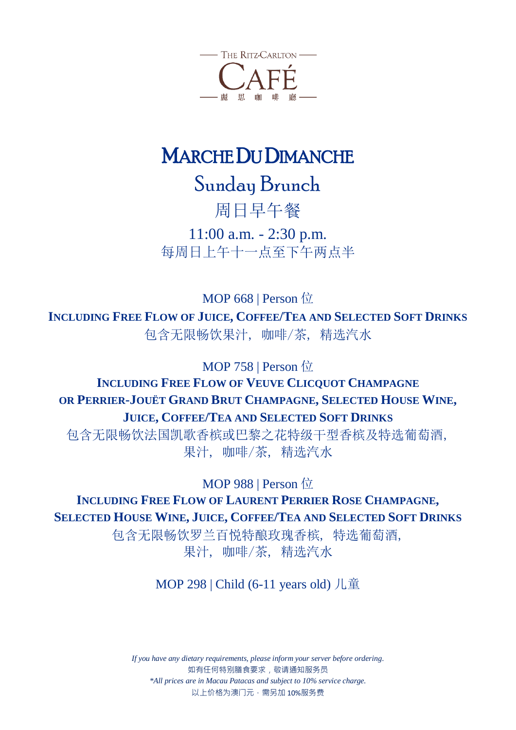

## MARCHE DU DIMANCHE

Sunday Brunch

周日早午餐

11:00 a.m. - 2:30 p.m. 每周日上午十一点至下午两点半

**MOP 668 | Person** 位 **INCLUDING FREE FLOW OF JUICE, COFFEE/TEA AND SELECTED SOFT DRINKS** 包含无限畅饮果汁, 咖啡/茶, 精选汽水

MOP 758 | Person 位

## **INCLUDING FREE FLOW OF VEUVE CLICQUOT C[HAMPAGNE](https://baike.baidu.com/item/Veuve%20Clicquot/3244448) OR PERRIER-JOUËT GRAND BRUT CHAMPAGNE, SELECTED HOUSE WINE, JUICE, COFFEE/TEA AND SELECTED SOFT DRINKS**

包含无限畅饮法国凯歌香槟或巴黎之花特级干型香槟及特选葡萄酒, 果汁, 咖啡/茶, 精选汽水

MOP 988 | Person 位

**INCLUDING FREE FLOW OF LAURENT PERRIER ROSE CHAMPAGNE, SELECTED HOUSE WINE, JUICE, COFFEE/TEA AND SELECTED SOFT DRINKS**

> 包含无限畅饮罗兰百悦特酿玫瑰香槟, 特选葡萄酒, 果汁, 咖啡/茶, 精选汽水

> > MOP 298 | Child (6-11 years old) 儿童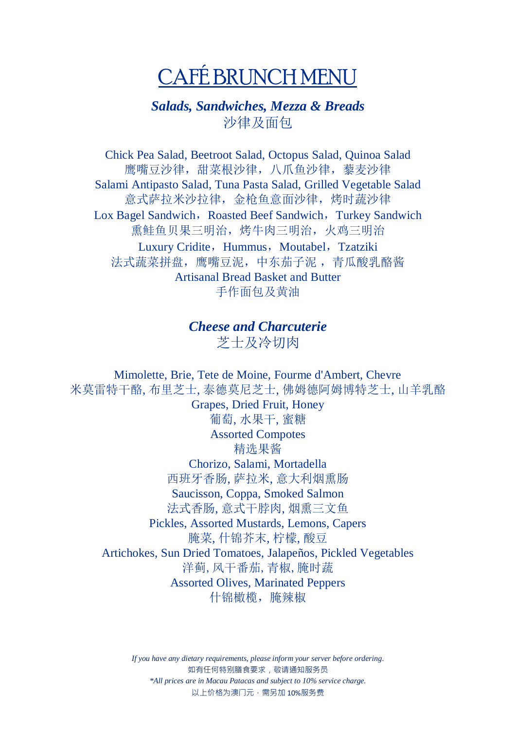# CAFÉ BRUNCH MENU

## *Salads, Sandwiches, Mezza & Breads* 沙律及面包

Chick Pea Salad, Beetroot Salad, Octopus Salad, Quinoa Salad 鹰嘴豆沙律,甜菜根沙律,八爪鱼沙律,藜麦沙律 Salami Antipasto Salad, Tuna Pasta Salad, Grilled Vegetable Salad 意式萨拉米沙拉律,金枪鱼意面沙律,烤时蔬沙律 Lox Bagel Sandwich, Roasted Beef Sandwich, Turkey Sandwich 熏鲑鱼贝果三明治,烤牛肉三明治,火鸡三明治 Luxury Cridite, Hummus, Moutabel, Tzatziki 法式蔬菜拼盘,鹰嘴豆泥,中东茄子泥 ,青瓜酸乳酪酱 Artisanal Bread Basket and Butter 手作面包及黄油

#### *Cheese and Charcuterie* 芝士及冷切肉

Mimolette, Brie, Tete de Moine, Fourme d'Ambert, Chevre 米莫雷特干酪, 布里芝士, 泰德莫尼芝士, 佛姆德阿姆博特芝士, 山羊乳酪 Grapes, Dried Fruit, Honey 葡萄, 水果干, 蜜糖 Assorted Compotes 精选果酱 Chorizo, Salami, Mortadella 西班牙香肠, 萨拉米, 意大利烟熏肠 Saucisson, Coppa, Smoked Salmon 法式香肠, 意式干脖肉, 烟熏三文鱼 Pickles, Assorted Mustards, Lemons, Capers 腌菜, 什锦芥末, 柠檬, 酸豆 Artichokes, Sun Dried Tomatoes, Jalapeños, Pickled Vegetables 洋蓟,风干番茄,青椒,腌时蔬 Assorted Olives, Marinated Peppers 什锦橄榄, 腌辣椒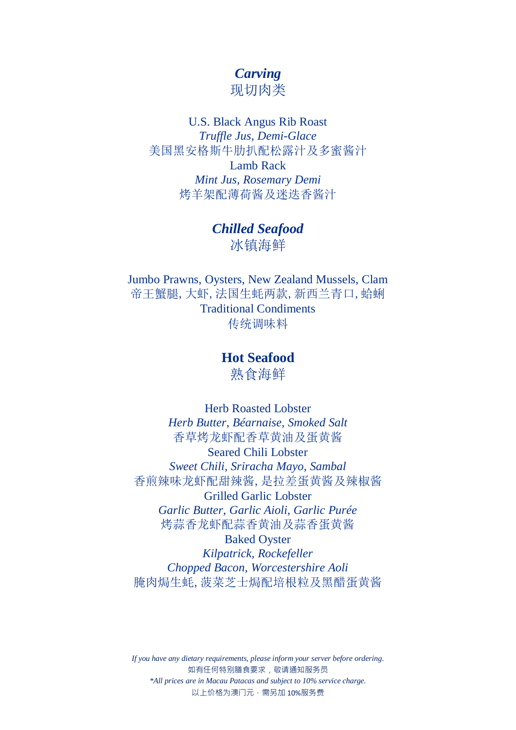## *Carving*

现切肉类

#### U.S. Black Angus Rib Roast *Truffle Jus, Demi-Glace* 美国黑安格斯牛肋扒配松露汁及多蜜酱汁 Lamb Rack *Mint Jus, Rosemary Demi* 烤羊架配薄荷酱及迷迭香酱汁

*Chilled Seafood* 冰镇海鲜

Jumbo Prawns, Oysters, New Zealand Mussels, Clam 帝王蟹腿,大虾,法国生蚝两款,新西兰青口,蛤蜊 Traditional Condiments 传统调味料

> **Hot Seafood** 熟食海鲜

Herb Roasted Lobster *Herb Butter, Béarnaise, Smoked Salt* 香草烤龙虾配香草黄油及蛋黄酱 Seared Chili Lobster *Sweet Chili, Sriracha Mayo, Sambal* 香煎辣味龙虾配甜辣酱,是拉差蛋黄酱及辣椒酱 Grilled Garlic Lobster *Garlic Butter, Garlic Aioli, Garlic Purée* 烤蒜香龙虾配蒜香黄油及蒜香蛋黄酱 Baked Oyster *Kilpatrick, Rockefeller*

*Chopped Bacon, Worcestershire Aoli* 腌肉焗生蚝,菠菜芝士焗配培根粒及黑醋蛋黄酱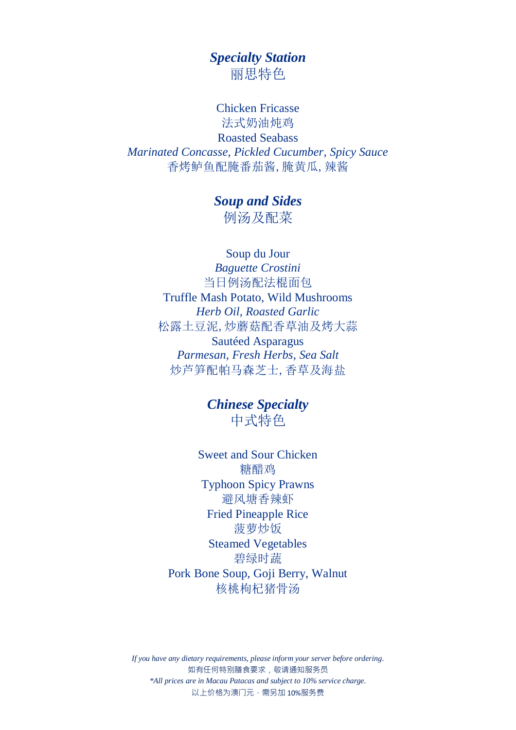## *Specialty Station* 丽思特色

Chicken Fricasse 法式奶油炖鸡 Roasted Seabass *Marinated Concasse, Pickled Cucumber, Spicy Sauce* 香烤鲈鱼配腌番茄酱,腌黄瓜,辣酱

> *Soup and Sides* 例汤及配菜

Soup du Jour *Baguette Crostini* 当日例汤配法棍面包 Truffle Mash Potato, Wild Mushrooms *Herb Oil, Roasted Garlic* 松露土豆泥,炒蘑菇配香草油及烤大蒜 Sautéed Asparagus *Parmesan, Fresh Herbs, Sea Salt* 炒芦笋配帕马森芝士,香草及海盐

> *Chinese Specialty* 中式特色

Sweet and Sour Chicken 糖醋鸡 Typhoon Spicy Prawns 避风塘香辣虾 Fried Pineapple Rice 菠萝炒饭 Steamed Vegetables 碧绿时蔬 Pork Bone Soup, Goji Berry, Walnut 核桃枸杞猪骨汤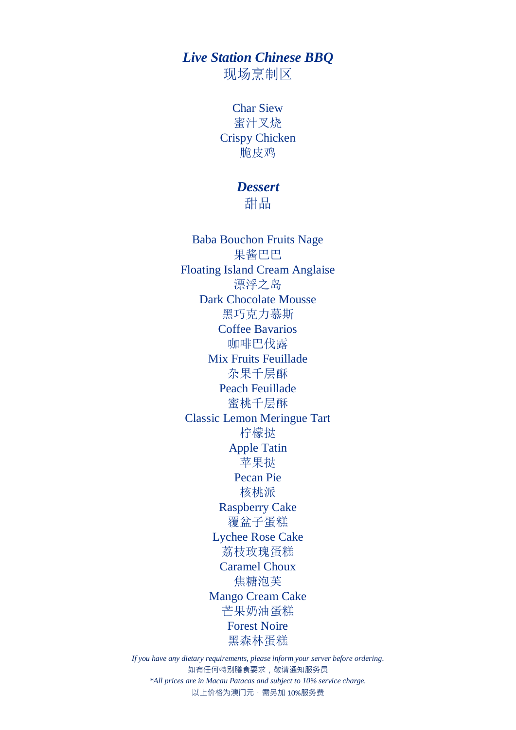## *Live Station Chinese BBQ*

现场烹制区

Char Siew 蜜汁叉烧 Crispy Chicken 脆皮鸡

#### *Dessert*

甜品

Baba Bouchon Fruits Nage 果酱巴巴 Floating Island Cream Anglaise 漂浮之岛 Dark Chocolate Mousse 黑巧克力慕斯 Coffee Bavarios 咖啡巴伐露 Mix Fruits Feuillade 杂果千层酥 Peach Feuillade 蜜桃千层酥 Classic Lemon Meringue Tart 柠檬挞 Apple Tatin 苹果挞 Pecan Pie 核桃派 Raspberry Cake 覆盆子蛋糕 Lychee Rose Cake 荔枝玫瑰蛋糕 Caramel Choux 焦糖泡芙 Mango Cream Cake 芒果奶油蛋糕 Forest Noire 黑森林蛋糕